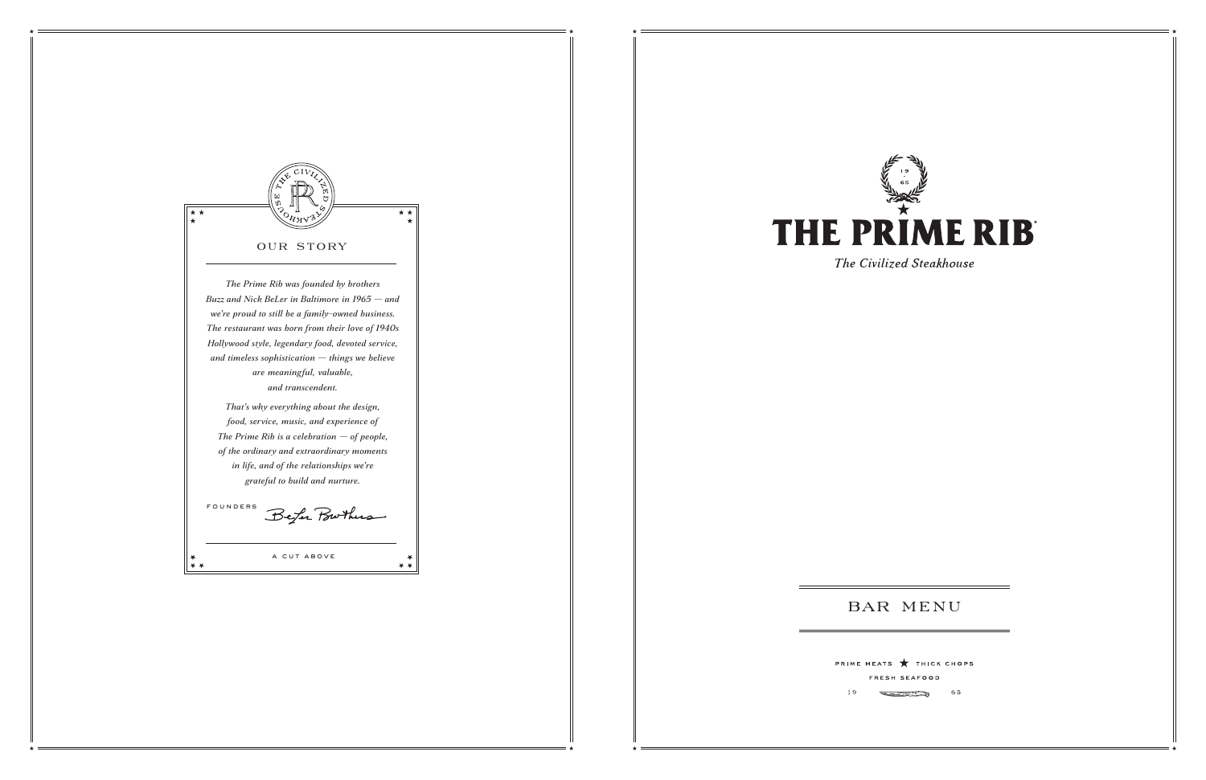

 $19$ 



The Civilized Steakhouse

# **BAR MENU**

PRIME MEATS THICK CHOPS FRESH SEAFOOD

> **Contraction of the Second Second** 65